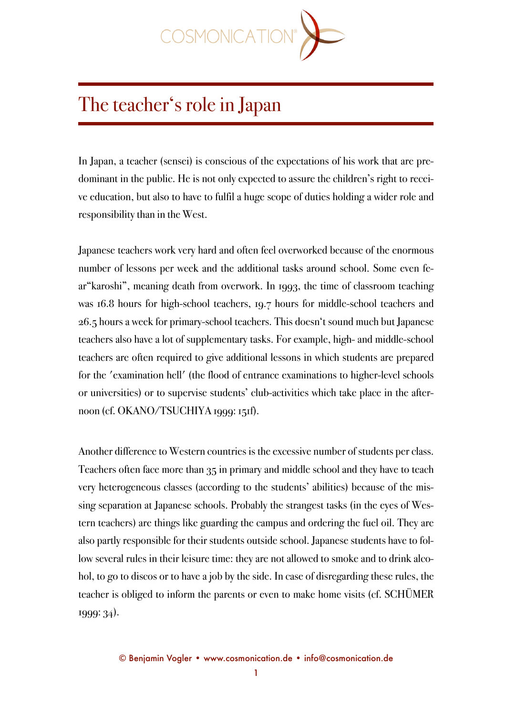

## The teacher's role in Japan

In Japan, a teacher (sensei) is conscious of the expectations of his work that are predominant in the public. He is not only expected to assure the children's right to receive education, but also to have to fulfil a huge scope of duties holding a wider role and responsibility than in the West.

Japanese teachers work very hard and often feel overworked because of the enormous number of lessons per week and the additional tasks around school. Some even fear"karoshi", meaning death from overwork. In 1993, the time of classroom teaching was 16.8 hours for high-school teachers, 19.7 hours for middle-school teachers and 26.5 hours a week for primary-school teachers. This doesn't sound much but Japanese teachers also have a lot of supplementary tasks. For example, high- and middle-school teachers are often required to give additional lessons in which students are prepared for the 'examination hell' (the flood of entrance examinations to higher-level schools or universities) or to supervise students' club-activities which take place in the afternoon (cf. OKANO/TSUCHIYA 1999: 151f).

Another difference to Western countries is the excessive number of students per class. Teachers often face more than 35 in primary and middle school and they have to teach very heterogeneous classes (according to the students' abilities) because of the missing separation at Japanese schools. Probably the strangest tasks (in the eyes of Western teachers) are things like guarding the campus and ordering the fuel oil. They are also partly responsible for their students outside school. Japanese students have to follow several rules in their leisure time: they are not allowed to smoke and to drink alcohol, to go to discos or to have a job by the side. In case of disregarding these rules, the teacher is obliged to inform the parents or even to make home visits (cf. SCHÜMER 1999: 34).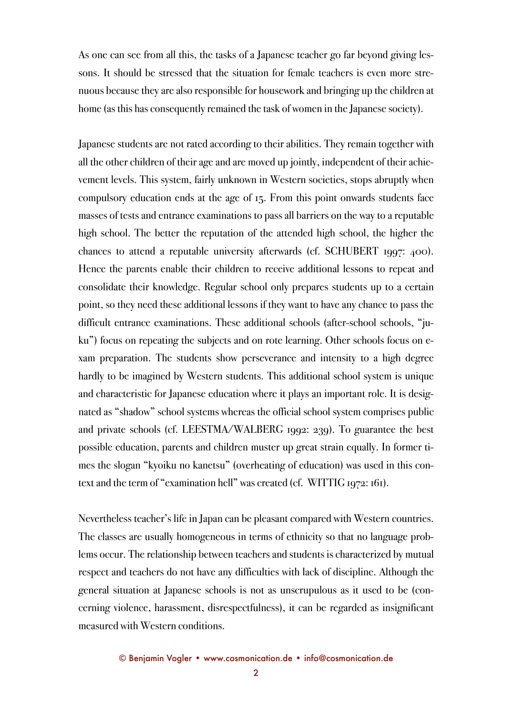As one can see from all this, the tasks of a Japanese teacher go far beyond giving lessons. It should be stressed that the situation for female teachers is even more strenuous because they are also responsible for housework and bringing up the children at home (as this has consequently remained the task of women in the Japanese society).

Japanese students are not rated according to their abilities. They remain together with all the other children of their age and are moved up jointly, independent of their achievement levels. This system, fairly unknown in Western societies, stops abruptly when compulsory education ends at the age of 15. From this point onwards students face masses of tests and entrance examinations to pass all barriers on the way to a reputable high school. The better the reputation of the attended high school, the higher the chances to attend a reputable university afterwards (cf. SCHUBERT 1997: 400). Hence the parents enable their children to receive additional lessons to repeat and consolidate their knowledge. Regular school only prepares students up to a certain point, so they need these additional lessons if they want to have any chance to pass the difficult entrance examinations. These additional schools (after-school schools, "juku") focus on repeating the subjects and on rote learning. Other schools focus on exam preparation. The students show perseverance and intensity to a high degree hardly to be imagined by Western students. This additional school system is unique and characteristic for Japanese education where it plays an important role. It is designated as "shadow" school systems whereas the official school system comprises public and private schools (cf. LEESTMA/WALBERG 1992: 239). To guarantee the best possible education, parents and children muster up great strain equally. In former times the slogan "kyoiku no kanetsu" (overheating of education) was used in this context and the term of "examination hell" was created (cf. WITTIG 1972: 161).

Nevertheless teacher's life in Japan can be pleasant compared with Western countries. The classes are usually homogeneous in terms of ethnicity so that no language problems occur. The relationship between teachers and students is characterized by mutual respect and teachers do not have any difficulties with lack of discipline. Although the general situation at Japanese schools is not as unscrupulous as it used to be (concerning violence, harassment, disrespectfulness), it can be regarded as insignificant measured with Western conditions.